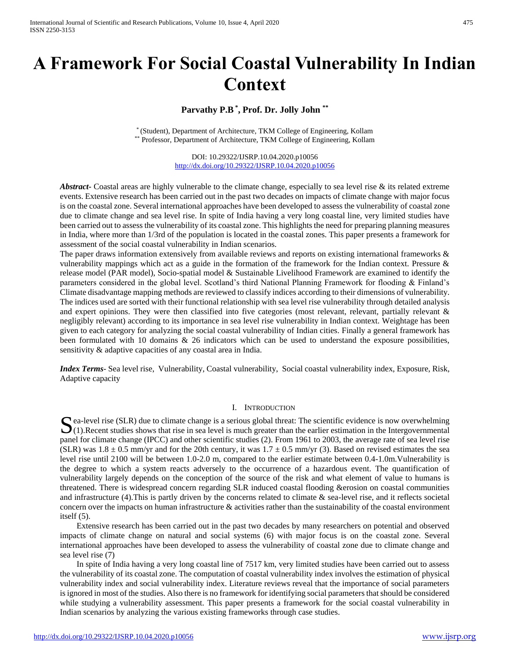# **A Framework For Social Coastal Vulnerability In Indian Context**

# **Parvathy P.B\* , Prof. Dr. Jolly John \*\***

\* (Student), Department of Architecture, TKM College of Engineering, Kollam \*\* Professor, Department of Architecture, TKM College of Engineering, Kollam

> DOI: 10.29322/IJSRP.10.04.2020.p10056 <http://dx.doi.org/10.29322/IJSRP.10.04.2020.p10056>

Abstract**-** Coastal areas are highly vulnerable to the climate change, especially to sea level rise & its related extreme events. Extensive research has been carried out in the past two decades on impacts of climate change with major focus is on the coastal zone. Several international approaches have been developed to assess the vulnerability of coastal zone due to climate change and sea level rise. In spite of India having a very long coastal line, very limited studies have been carried out to assess the vulnerability of its coastal zone. This highlights the need for preparing planning measures in India, where more than 1/3rd of the population is located in the coastal zones. This paper presents a framework for assessment of the social coastal vulnerability in Indian scenarios.

The paper draws information extensively from available reviews and reports on existing international frameworks & vulnerability mappings which act as a guide in the formation of the framework for the Indian context. Pressure & release model (PAR model), Socio-spatial model & Sustainable Livelihood Framework are examined to identify the parameters considered in the global level. Scotland's third National Planning Framework for flooding & Finland's Climate disadvantage mapping methods are reviewed to classify indices according to their dimensions of vulnerability. The indices used are sorted with their functional relationship with sea level rise vulnerability through detailed analysis and expert opinions. They were then classified into five categories (most relevant, relevant, partially relevant & negligibly relevant) according to its importance in sea level rise vulnerability in Indian context. Weightage has been given to each category for analyzing the social coastal vulnerability of Indian cities. Finally a general framework has been formulated with 10 domains & 26 indicators which can be used to understand the exposure possibilities, sensitivity & adaptive capacities of any coastal area in India.

*Index Terms*- Sea level rise, Vulnerability, Coastal vulnerability, Social coastal vulnerability index, Exposure, Risk, Adaptive capacity

#### I. INTRODUCTION

ea-level rise (SLR) due to climate change is a serious global threat: The scientific evidence is now overwhelming Sea-level rise (SLR) due to climate change is a serious global threat: The scientific evidence is now overwhelming (1). Recent studies shows that rise in sea level is much greater than the earlier estimation in the Intergo panel for climate change (IPCC) and other scientific studies (2). From 1961 to 2003, the average rate of sea level rise (SLR) was  $1.8 \pm 0.5$  mm/yr and for the 20th century, it was  $1.7 \pm 0.5$  mm/yr (3). Based on revised estimates the sea level rise until 2100 will be between 1.0-2.0 m, compared to the earlier estimate between 0.4-1.0m.Vulnerability is the degree to which a system reacts adversely to the occurrence of a hazardous event. The quantification of vulnerability largely depends on the conception of the source of the risk and what element of value to humans is threatened. There is widespread concern regarding SLR induced coastal flooding &erosion on coastal communities and infrastructure (4). This is partly driven by the concerns related to climate  $\&$  sea-level rise, and it reflects societal concern over the impacts on human infrastructure  $\&$  activities rather than the sustainability of the coastal environment itself (5).

 Extensive research has been carried out in the past two decades by many researchers on potential and observed impacts of climate change on natural and social systems (6) with major focus is on the coastal zone. Several international approaches have been developed to assess the vulnerability of coastal zone due to climate change and sea level rise (7)

 In spite of India having a very long coastal line of 7517 km, very limited studies have been carried out to assess the vulnerability of its coastal zone. The computation of coastal vulnerability index involves the estimation of physical vulnerability index and social vulnerability index. Literature reviews reveal that the importance of social parameters is ignored in most of the studies. Also there is no framework for identifying social parameters that should be considered while studying a vulnerability assessment. This paper presents a framework for the social coastal vulnerability in Indian scenarios by analyzing the various existing frameworks through case studies.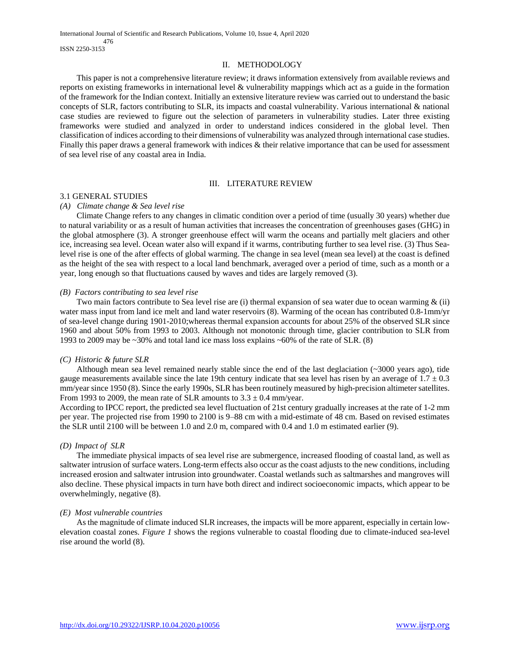## II. METHODOLOGY

 This paper is not a comprehensive literature review; it draws information extensively from available reviews and reports on existing frameworks in international level & vulnerability mappings which act as a guide in the formation of the framework for the Indian context. Initially an extensive literature review was carried out to understand the basic concepts of SLR, factors contributing to SLR, its impacts and coastal vulnerability. Various international & national case studies are reviewed to figure out the selection of parameters in vulnerability studies. Later three existing frameworks were studied and analyzed in order to understand indices considered in the global level. Then classification of indices according to their dimensions of vulnerability was analyzed through international case studies. Finally this paper draws a general framework with indices & their relative importance that can be used for assessment of sea level rise of any coastal area in India.

## III. LITERATURE REVIEW

## 3.1 GENERAL STUDIES

### *(A) Climate change & Sea level rise*

 Climate Change refers to any changes in climatic condition over a period of time (usually 30 years) whether due to natural variability or as a result of human activities that increases the concentration of greenhouses gases (GHG) in the global atmosphere (3). A stronger greenhouse effect will warm the oceans and partially melt glaciers and other ice, increasing sea level. Ocean water also will expand if it warms, contributing further to sea level rise. (3) Thus Sealevel rise is one of the after effects of global warming. The change in sea level (mean sea level) at the coast is defined as the height of the sea with respect to a local land benchmark, averaged over a period of time, such as a month or a year, long enough so that fluctuations caused by waves and tides are largely removed (3).

### *(B) Factors contributing to sea level rise*

Two main factors contribute to Sea level rise are (i) thermal expansion of sea water due to ocean warming  $\&$  (ii) water mass input from land ice melt and land water reservoirs (8). Warming of the ocean has contributed 0.8-1mm/yr of sea-level change during 1901-2010;whereas thermal expansion accounts for about 25% of the observed SLR since 1960 and about 50% from 1993 to 2003. Although not monotonic through time, glacier contribution to SLR from 1993 to 2009 may be  $\sim$ 30% and total land ice mass loss explains  $\sim$ 60% of the rate of SLR. (8)

## *(C) Historic & future SLR*

 Although mean sea level remained nearly stable since the end of the last deglaciation (~3000 years ago), tide gauge measurements available since the late 19th century indicate that sea level has risen by an average of  $1.7 \pm 0.3$ mm/year since 1950 (8). Since the early 1990s, SLR has been routinely measured by high-precision altimeter satellites. From 1993 to 2009, the mean rate of SLR amounts to  $3.3 \pm 0.4$  mm/year.

According to IPCC report, the predicted sea level fluctuation of 21st century gradually increases at the rate of 1-2 mm per year. The projected rise from 1990 to 2100 is 9–88 cm with a mid-estimate of 48 cm. Based on revised estimates the SLR until 2100 will be between 1.0 and 2.0 m, compared with 0.4 and 1.0 m estimated earlier (9).

## *(D) Impact of SLR*

 The immediate physical impacts of sea level rise are submergence, increased flooding of coastal land, as well as saltwater intrusion of surface waters. Long-term effects also occur as the coast adjusts to the new conditions, including increased erosion and saltwater intrusion into groundwater. Coastal wetlands such as saltmarshes and mangroves will also decline. These physical impacts in turn have both direct and indirect socioeconomic impacts, which appear to be overwhelmingly, negative (8).

# *(E) Most vulnerable countries*

 As the magnitude of climate induced SLR increases, the impacts will be more apparent, especially in certain lowelevation coastal zones. *Figure 1* shows the regions vulnerable to coastal flooding due to climate-induced sea-level rise around the world (8).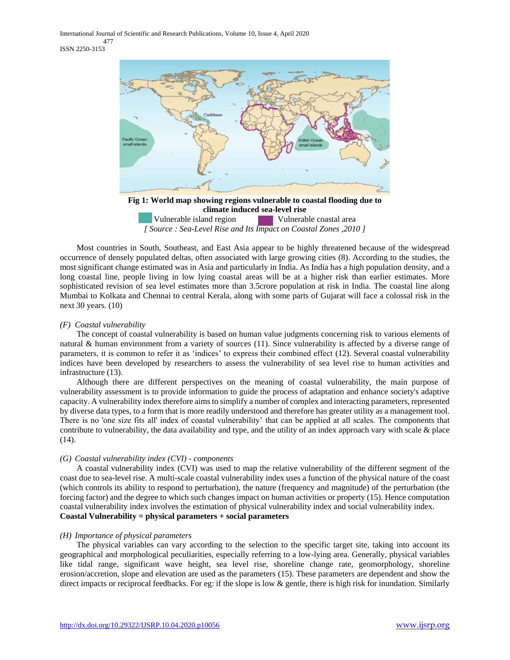International Journal of Scientific and Research Publications, Volume 10, Issue 4, April 2020 477 ISSN 2250-3153



Vulnerable island region Vulnerable coastal area *[ Source : Sea-Level Rise and Its Impact on Coastal Zones ,2010 ]*

 Most countries in South, Southeast, and East Asia appear to be highly threatened because of the widespread occurrence of densely populated deltas, often associated with large growing cities (8). According to the studies, the most significant change estimated was in Asia and particularly in India. As India has a high population density, and a long coastal line, people living in low lying coastal areas will be at a higher risk than earlier estimates. More sophisticated revision of sea level estimates more than 3.5crore population at risk in India. The coastal line along Mumbai to Kolkata and Chennai to central Kerala, along with some parts of Gujarat will face a colossal risk in the next 30 years. (10)

### *(F) Coastal vulnerability*

 The concept of coastal vulnerability is based on human value judgments concerning risk to various elements of natural & human environment from a variety of sources (11). Since vulnerability is affected by a diverse range of parameters, it is common to refer it as 'indices' to express their combined effect (12). Several coastal vulnerability indices have been developed by researchers to assess the vulnerability of sea level rise to human activities and infrastructure (13).

 Although there are different perspectives on the meaning of coastal vulnerability, the main purpose of vulnerability assessment is to provide information to guide the process of adaptation and enhance society's adaptive capacity. A vulnerability index therefore aims to simplify a number of complex and interacting parameters, represented by diverse data types, to a form that is more readily understood and therefore has greater utility as a management tool. There is no 'one size fits all' index of coastal vulnerability' that can be applied at all scales. The components that contribute to vulnerability, the data availability and type, and the utility of an index approach vary with scale & place (14).

# *(G) Coastal vulnerability index (CVI) - components*

 A coastal vulnerability index (CVI) was used to map the relative vulnerability of the different segment of the coast due to sea-level rise. A multi-scale coastal vulnerability index uses a function of the physical nature of the coast (which controls its ability to respond to perturbation), the nature (frequency and magnitude) of the perturbation (the forcing factor) and the degree to which such changes impact on human activities or property (15). Hence computation coastal vulnerability index involves the estimation of physical vulnerability index and social vulnerability index. **Coastal Vulnerability = physical parameters + social parameters**

## *(H) Importance of physical parameters*

 The physical variables can vary according to the selection to the specific target site, taking into account its geographical and morphological peculiarities, especially referring to a low-lying area. Generally, physical variables like tidal range, significant wave height, sea level rise, shoreline change rate, geomorphology, shoreline erosion/accretion, slope and elevation are used as the parameters (15). These parameters are dependent and show the direct impacts or reciprocal feedbacks. For eg: if the slope is low  $\&$  gentle, there is high risk for inundation. Similarly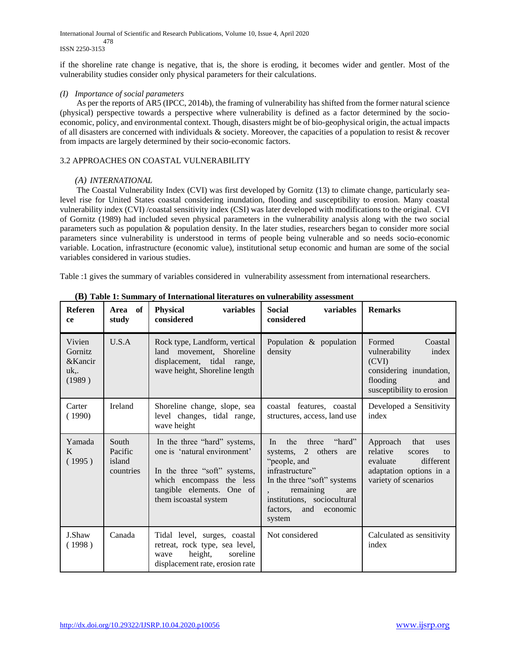International Journal of Scientific and Research Publications, Volume 10, Issue 4, April 2020 478 ISSN 2250-3153

if the shoreline rate change is negative, that is, the shore is eroding, it becomes wider and gentler. Most of the vulnerability studies consider only physical parameters for their calculations.

# *(I) Importance of social parameters*

 As per the reports of AR5 (IPCC, 2014b), the framing of vulnerability has shifted from the former natural science (physical) perspective towards a perspective where vulnerability is defined as a factor determined by the socioeconomic, policy, and environmental context. Though, disasters might be of bio-geophysical origin, the actual impacts of all disasters are concerned with individuals  $\&$  society. Moreover, the capacities of a population to resist  $\&$  recover from impacts are largely determined by their socio-economic factors.

# 3.2 APPROACHES ON COASTAL VULNERABILITY

# *(A) INTERNATIONAL*

 The Coastal Vulnerability Index (CVI) was first developed by Gornitz (13) to climate change, particularly sealevel rise for United States coastal considering inundation, flooding and susceptibility to erosion. Many coastal vulnerability index (CVI) /coastal sensitivity index (CSI) was later developed with modifications to the original. CVI of Gornitz (1989) had included seven physical parameters in the vulnerability analysis along with the two social parameters such as population & population density. In the later studies, researchers began to consider more social parameters since vulnerability is understood in terms of people being vulnerable and so needs socio-economic variable. Location, infrastructure (economic value), institutional setup economic and human are some of the social variables considered in various studies.

Table :1 gives the summary of variables considered in vulnerability assessment from international researchers.

| <b>Referen</b><br>ce                         | Area of<br>study                        | <b>Physical</b><br>variables<br>considered                                                                                                                                      | <b>Social</b><br>variables<br>considered                                                                                                                                                                               | <b>Remarks</b>                                                                                                                   |  |  |
|----------------------------------------------|-----------------------------------------|---------------------------------------------------------------------------------------------------------------------------------------------------------------------------------|------------------------------------------------------------------------------------------------------------------------------------------------------------------------------------------------------------------------|----------------------------------------------------------------------------------------------------------------------------------|--|--|
| Vivien<br>Gornitz<br>&Kancir<br>uk<br>(1989) | U.S.A                                   | Rock type, Landform, vertical<br>land movement, Shoreline<br>displacement, tidal range,<br>wave height, Shoreline length                                                        | Population & population<br>density                                                                                                                                                                                     | Formed<br>Coastal<br>index<br>vulnerability<br>(CVI)<br>considering inundation,<br>flooding<br>and<br>susceptibility to erosion  |  |  |
| Carter<br>(1990)                             | <b>Ireland</b>                          | Shoreline change, slope, sea<br>level changes, tidal range,<br>wave height                                                                                                      | coastal features, coastal<br>structures, access, land use                                                                                                                                                              | Developed a Sensitivity<br>index                                                                                                 |  |  |
| Yamada<br>K<br>(1995)                        | South<br>Pacific<br>island<br>countries | In the three "hard" systems,<br>one is 'natural environment'<br>In the three "soft" systems,<br>which encompass the less<br>tangible elements. One of<br>them is coastal system | "hard"<br>the<br>three<br>In<br>systems, 2 others<br>are<br>"people, and<br>infrastructure"<br>In the three "soft" systems<br>remaining<br>are<br>institutions, sociocultural<br>factors.<br>and<br>economic<br>system | Approach<br>that<br>uses<br>relative<br>scores<br>to<br>different<br>evaluate<br>adaptation options in a<br>variety of scenarios |  |  |
| J.Shaw<br>(1998)                             | Canada                                  | Tidal level, surges, coastal<br>retreat, rock type, sea level,<br>height,<br>soreline<br>wave<br>displacement rate, erosion rate                                                | Not considered                                                                                                                                                                                                         | Calculated as sensitivity<br>index                                                                                               |  |  |

**(B) Table 1: Summary of International literatures on vulnerability assessment**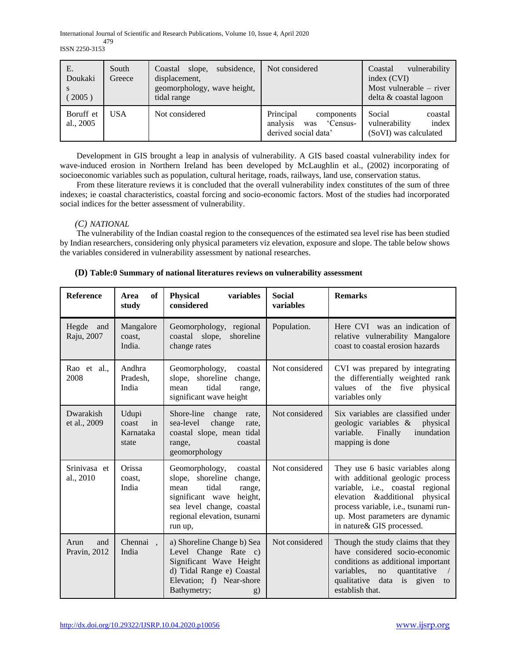International Journal of Scientific and Research Publications, Volume 10, Issue 4, April 2020 479 ISSN 2250-3153

| E.<br>Doukaki<br>2005) | South<br>Greece | subsidence,<br>slope,<br>Coastal<br>displacement,<br>geomorphology, wave height,<br>tidal range | Not considered                                                                | vulnerability<br>Coastal<br>index (CVI)<br>Most vulnerable $-$ river<br>delta & coastal lagoon |
|------------------------|-----------------|-------------------------------------------------------------------------------------------------|-------------------------------------------------------------------------------|------------------------------------------------------------------------------------------------|
| Boruff et<br>al., 2005 | <b>USA</b>      | Not considered                                                                                  | Principal<br>components<br>analysis<br>Census-<br>was<br>derived social data' | Social<br>coastal<br>index<br>vulnerability<br>(SoVI) was calculated                           |

 Development in GIS brought a leap in analysis of vulnerability. A GIS based coastal vulnerability index for wave-induced erosion in Northern Ireland has been developed by McLaughlin et al., (2002) incorporating of socioeconomic variables such as population, cultural heritage, roads, railways, land use, conservation status.

 From these literature reviews it is concluded that the overall vulnerability index constitutes of the sum of three indexes; ie coastal characteristics, coastal forcing and socio-economic factors. Most of the studies had incorporated social indices for the better assessment of vulnerability.

# *(C) NATIONAL*

 The vulnerability of the Indian coastal region to the consequences of the estimated sea level rise has been studied by Indian researchers, considering only physical parameters viz elevation, exposure and slope. The table below shows the variables considered in vulnerability assessment by national researches.

| Reference                   | of<br>Area<br>study                                                                                                                                                            | <b>Physical</b><br>variables<br>considered                                                                                                                                                | <b>Social</b><br>variables | <b>Remarks</b>                                                                                                                                                                                                                                          |
|-----------------------------|--------------------------------------------------------------------------------------------------------------------------------------------------------------------------------|-------------------------------------------------------------------------------------------------------------------------------------------------------------------------------------------|----------------------------|---------------------------------------------------------------------------------------------------------------------------------------------------------------------------------------------------------------------------------------------------------|
| Hegde<br>and<br>Raju, 2007  | Mangalore<br>coast.<br>India.                                                                                                                                                  | Geomorphology,<br>regional<br>coastal slope,<br>shoreline<br>change rates                                                                                                                 | Population.                | Here CVI was an indication of<br>relative vulnerability Mangalore<br>coast to coastal erosion hazards                                                                                                                                                   |
| Rao et al.,<br>2008         | Andhra<br>Pradesh,<br>India                                                                                                                                                    | Geomorphology,<br>coastal<br>slope, shoreline<br>change,<br>tidal<br>mean<br>range,<br>significant wave height                                                                            | Not considered             | CVI was prepared by integrating<br>the differentially weighted rank<br>of the<br>five physical<br>values<br>variables only                                                                                                                              |
| Dwarakish<br>et al., 2009   | Shore-line<br>Udupi<br>change<br>rate,<br>sea-level<br>change<br>coast<br>in<br>rate,<br>Karnataka<br>coastal slope, mean tidal<br>coastal<br>state<br>range,<br>geomorphology |                                                                                                                                                                                           | Not considered             | Six variables are classified under<br>geologic variables &<br>physical<br>variable.<br>Finally<br>inundation<br>mapping is done                                                                                                                         |
| Srinivasa et<br>al., 2010   | Orissa<br>coast.<br>India                                                                                                                                                      | Geomorphology,<br>coastal<br>slope, shoreline<br>change,<br>tidal<br>mean<br>range,<br>significant wave<br>height,<br>sea level change, coastal<br>regional elevation, tsunami<br>run up, | Not considered             | They use 6 basic variables along<br>with additional geologic process<br>variable, i.e., coastal regional<br>elevation & additional<br>physical<br>process variable, i.e., tsunami run-<br>up. Most parameters are dynamic<br>in nature & GIS processed. |
| Arun<br>and<br>Pravin, 2012 | Chennai<br>$\ddot{\phantom{a}}$<br>India                                                                                                                                       | a) Shoreline Change b) Sea<br>Level Change Rate c)<br>Significant Wave Height<br>d) Tidal Range e) Coastal<br>Elevation; f) Near-shore<br>Bathymetry;<br>g)                               | Not considered             | Though the study claims that they<br>have considered socio-economic<br>conditions as additional important<br>variables,<br>quantitative<br>no<br>qualitative<br>data is given<br>to<br>establish that.                                                  |

# **(D) Table:0 Summary of national literatures reviews on vulnerability assessment**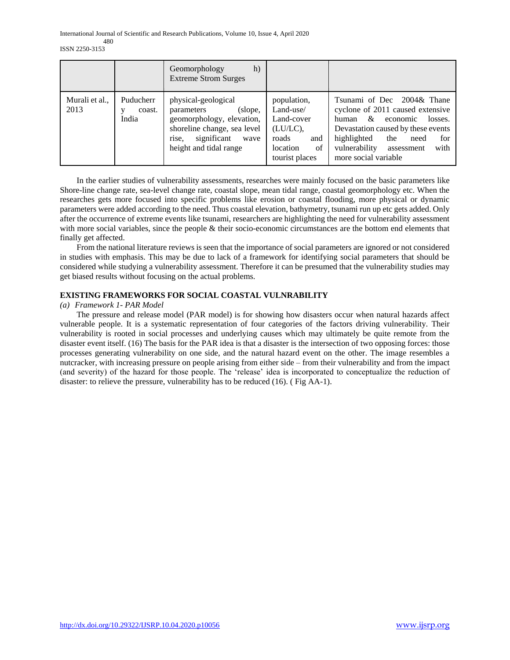|                        |                              | Geomorphology<br>h)<br><b>Extreme Strom Surges</b>                                                                                                                 |                                                                                                        |                                                                                                                                                                                                                                               |
|------------------------|------------------------------|--------------------------------------------------------------------------------------------------------------------------------------------------------------------|--------------------------------------------------------------------------------------------------------|-----------------------------------------------------------------------------------------------------------------------------------------------------------------------------------------------------------------------------------------------|
| Murali et al.,<br>2013 | Puducherr<br>coast.<br>India | physical-geological<br>parameters<br>(slope,<br>geomorphology, elevation,<br>shoreline change, sea level<br>significant<br>wave<br>rise,<br>height and tidal range | population,<br>Land-use/<br>Land-cover<br>(LU/LC),<br>roads<br>and<br>location<br>of<br>tourist places | Tsunami of Dec 2004& Thane<br>cyclone of 2011 caused extensive<br>&<br>economic<br>losses.<br>human<br>Devastation caused by these events<br>highlighted<br>the<br>for<br>need<br>vulnerability<br>with<br>assessment<br>more social variable |

 In the earlier studies of vulnerability assessments, researches were mainly focused on the basic parameters like Shore-line change rate, sea-level change rate, coastal slope, mean tidal range, coastal geomorphology etc. When the researches gets more focused into specific problems like erosion or coastal flooding, more physical or dynamic parameters were added according to the need. Thus coastal elevation, bathymetry, tsunami run up etc gets added. Only after the occurrence of extreme events like tsunami, researchers are highlighting the need for vulnerability assessment with more social variables, since the people & their socio-economic circumstances are the bottom end elements that finally get affected.

 From the national literature reviews is seen that the importance of social parameters are ignored or not considered in studies with emphasis. This may be due to lack of a framework for identifying social parameters that should be considered while studying a vulnerability assessment. Therefore it can be presumed that the vulnerability studies may get biased results without focusing on the actual problems.

# **EXISTING FRAMEWORKS FOR SOCIAL COASTAL VULNRABILITY**

## *(a) Framework 1- PAR Model*

 The pressure and release model (PAR model) is for showing how disasters occur when natural hazards affect vulnerable people. It is a systematic representation of four categories of the factors driving vulnerability. Their vulnerability is rooted in social processes and underlying causes which may ultimately be quite remote from the disaster event itself. (16) The basis for the PAR idea is that a disaster is the intersection of two opposing forces: those processes generating vulnerability on one side, and the natural hazard event on the other. The image resembles a nutcracker, with increasing pressure on people arising from either side – from their vulnerability and from the impact (and severity) of the hazard for those people. The 'release' idea is incorporated to conceptualize the reduction of disaster: to relieve the pressure, vulnerability has to be reduced (16). ( Fig AA-1).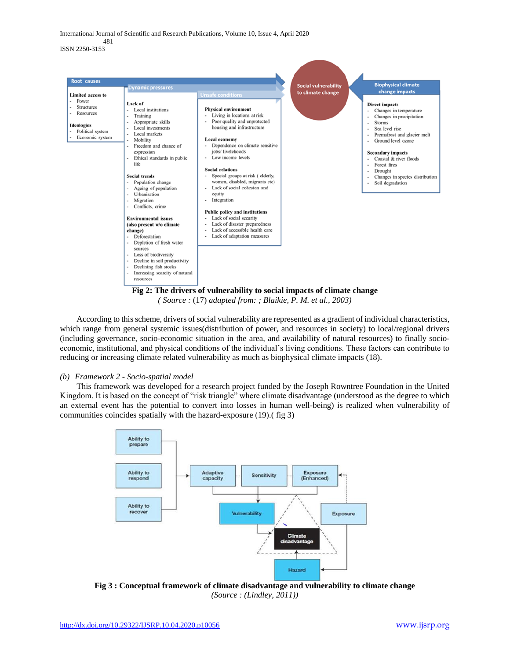International Journal of Scientific and Research Publications, Volume 10, Issue 4, April 2020 481 ISSN 2250-3153



*( Source :* (17) *adapted from: ; Blaikie, P. M. et al., 2003)*

 According to this scheme, drivers of social vulnerability are represented as a gradient of individual characteristics, which range from general systemic issues(distribution of power, and resources in society) to local/regional drivers (including governance, socio-economic situation in the area, and availability of natural resources) to finally socioeconomic, institutional, and physical conditions of the individual's living conditions. These factors can contribute to reducing or increasing climate related vulnerability as much as biophysical climate impacts (18).

## *(b) Framework 2 - Socio-spatial model*

 This framework was developed for a research project funded by the Joseph Rowntree Foundation in the United Kingdom. It is based on the concept of "risk triangle" where climate disadvantage (understood as the degree to which an external event has the potential to convert into losses in human well-being) is realized when vulnerability of communities coincides spatially with the hazard-exposure (19).( fig 3)



**Fig 3 : Conceptual framework of climate disadvantage and vulnerability to climate change** *(Source : (Lindley, 2011))*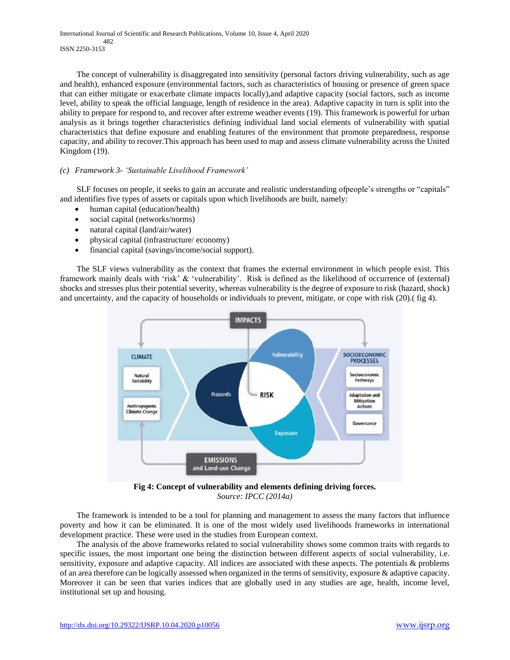International Journal of Scientific and Research Publications, Volume 10, Issue 4, April 2020 482 ISSN 2250-3153

 The concept of vulnerability is disaggregated into sensitivity (personal factors driving vulnerability, such as age and health), enhanced exposure (environmental factors, such as characteristics of housing or presence of green space that can either mitigate or exacerbate climate impacts locally),and adaptive capacity (social factors, such as income level, ability to speak the official language, length of residence in the area). Adaptive capacity in turn is split into the ability to prepare for respond to, and recover after extreme weather events (19). This framework is powerful for urban analysis as it brings together characteristics defining individual land social elements of vulnerability with spatial characteristics that define exposure and enabling features of the environment that promote preparedness, response capacity, and ability to recover.This approach has been used to map and assess climate vulnerability across the United Kingdom (19).

# *(c) Framework 3- 'Sustainable Livelihood Framework'*

 SLF focuses on people, it seeks to gain an accurate and realistic understanding ofpeople's strengths or "capitals" and identifies five types of assets or capitals upon which livelihoods are built, namely:

- human capital (education/health)
- social capital (networks/norms)
- natural capital (land/air/water)
- physical capital (infrastructure/ economy)
- financial capital (savings/income/social support).

 The SLF views vulnerability as the context that frames the external environment in which people exist. This framework mainly deals with 'risk' & 'vulnerability'. Risk is defined as the likelihood of occurrence of (external) shocks and stresses plus their potential severity, whereas vulnerability is the degree of exposure to risk (hazard, shock) and uncertainty, and the capacity of households or individuals to prevent, mitigate, or cope with risk (20).( fig 4).



**Fig 4: Concept of vulnerability and elements defining driving forces.** *Source: IPCC (2014a)*

 The framework is intended to be a tool for planning and management to assess the many factors that influence poverty and how it can be eliminated. It is one of the most widely used livelihoods frameworks in international development practice. These were used in the studies from European context.

 The analysis of the above frameworks related to social vulnerability shows some common traits with regards to specific issues, the most important one being the distinction between different aspects of social vulnerability, i.e. sensitivity, exposure and adaptive capacity. All indices are associated with these aspects. The potentials & problems of an area therefore can be logically assessed when organized in the terms of sensitivity, exposure & adaptive capacity. Moreover it can be seen that varies indices that are globally used in any studies are age, health, income level, institutional set up and housing.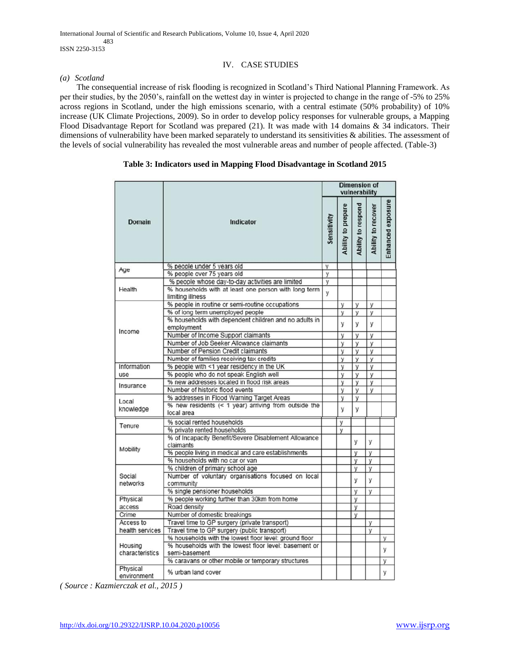# IV. CASE STUDIES

## *(a) Scotland*

 The consequential increase of risk flooding is recognized in Scotland's Third National Planning Framework. As per their studies, by the 2050's, rainfall on the wettest day in winter is projected to change in the range of -5% to 25% across regions in Scotland, under the high emissions scenario, with a central estimate (50% probability) of 10% increase (UK Climate Projections, 2009). So in order to develop policy responses for vulnerable groups, a Mapping Flood Disadvantage Report for Scotland was prepared (21). It was made with 14 domains & 34 indicators. Their dimensions of vulnerability have been marked separately to understand its sensitivities & abilities. The assessment of the levels of social vulnerability has revealed the most vulnerable areas and number of people affected. (Table-3)

# **Table 3: Indicators used in Mapping Flood Disadvantage in Scotland 2015**

|                         |                                                                                                                              | <b>Dimension of</b><br>vulnerability |                    |                    |                    |                   |  |  |
|-------------------------|------------------------------------------------------------------------------------------------------------------------------|--------------------------------------|--------------------|--------------------|--------------------|-------------------|--|--|
| Domain                  | <b>Indicator</b>                                                                                                             | Sensitivity                          | Ability to prepare | Ability to respond | Ability to recover | Enhanced exposure |  |  |
| Age                     | % people under 5 years old                                                                                                   | y                                    |                    |                    |                    |                   |  |  |
|                         | % people over 75 years old                                                                                                   | у                                    |                    |                    |                    |                   |  |  |
| Health                  | % people whose day-to-day activities are limited<br>% households with at least one person with long term<br>limiting illness | y<br>y                               |                    |                    |                    |                   |  |  |
|                         | % people in routine or semi-routine occupations                                                                              |                                      | y                  | y                  | y                  |                   |  |  |
|                         | % of long term unemployed people                                                                                             |                                      | У                  | y                  | У                  |                   |  |  |
|                         | % households with dependent children and no adults in<br>employment                                                          |                                      | у                  | у                  | у                  |                   |  |  |
| Income                  | Number of Income Support claimants                                                                                           |                                      | у                  | У                  | y                  |                   |  |  |
|                         | Number of Job Seeker Allowance claimants                                                                                     |                                      | У                  | у                  | y                  |                   |  |  |
|                         | Number of Pension Credit claimants                                                                                           |                                      | у                  | у                  | y                  |                   |  |  |
|                         | Number of families receiving tax credits                                                                                     |                                      | у                  | У                  | у                  |                   |  |  |
| Information             | % people with <1 year residency in the UK                                                                                    |                                      | y                  | y                  | y                  |                   |  |  |
| use                     | % people who do not speak English well                                                                                       |                                      | у                  | y                  | y                  |                   |  |  |
| Insurance               | % new addresses located in flood risk areas                                                                                  |                                      | y                  | y                  | y                  |                   |  |  |
|                         | Number of historic flood events                                                                                              |                                      | y                  | y                  | y                  |                   |  |  |
| Local                   | % addresses in Flood Warning Target Areas                                                                                    |                                      | у                  | y                  |                    |                   |  |  |
| knowledge               | % new residents (< 1 year) arriving from outside the<br>local area                                                           |                                      | у                  | У                  |                    |                   |  |  |
|                         | % social rented households                                                                                                   |                                      | y                  |                    |                    |                   |  |  |
| Tenure                  | % private rented households                                                                                                  |                                      | у                  |                    |                    |                   |  |  |
|                         | % of Incapacity Benefit/Severe Disablement Allowance<br>claimants                                                            |                                      |                    | У                  | y                  |                   |  |  |
| Mobility                | % people living in medical and care establishments                                                                           |                                      |                    | У                  | y                  |                   |  |  |
|                         | % households with no car or van                                                                                              |                                      |                    | У                  | y                  |                   |  |  |
|                         | % children of primary school age                                                                                             |                                      |                    | У                  | y                  |                   |  |  |
| Social<br>networks      | Number of voluntary organisations focused on local<br>community                                                              |                                      |                    | У                  | y                  |                   |  |  |
|                         | % single pensioner households                                                                                                |                                      |                    | У                  | y                  |                   |  |  |
| Physical                | % people working further than 30km from home                                                                                 |                                      |                    | у                  |                    |                   |  |  |
| access                  | Road density                                                                                                                 |                                      |                    | У                  |                    |                   |  |  |
| Crime                   | Number of domestic breakings                                                                                                 |                                      |                    | У                  |                    |                   |  |  |
| Access to               | Travel time to GP surgery (private transport)                                                                                |                                      |                    |                    | у                  |                   |  |  |
| health services         | Travel time to GP surgery (public transport)                                                                                 |                                      |                    |                    | у                  |                   |  |  |
|                         | % households with the lowest floor level: ground floor                                                                       |                                      |                    |                    |                    | У                 |  |  |
| Housing                 | % households with the lowest floor level: basement or                                                                        |                                      |                    |                    |                    | y                 |  |  |
| characteristics         | semi-basement<br>% caravans or other mobile or temporary structures                                                          |                                      |                    |                    |                    | у                 |  |  |
| Physical<br>environment | % urban land cover                                                                                                           |                                      |                    |                    |                    | y                 |  |  |

*( Source : Kazmierczak et al., 2015 )*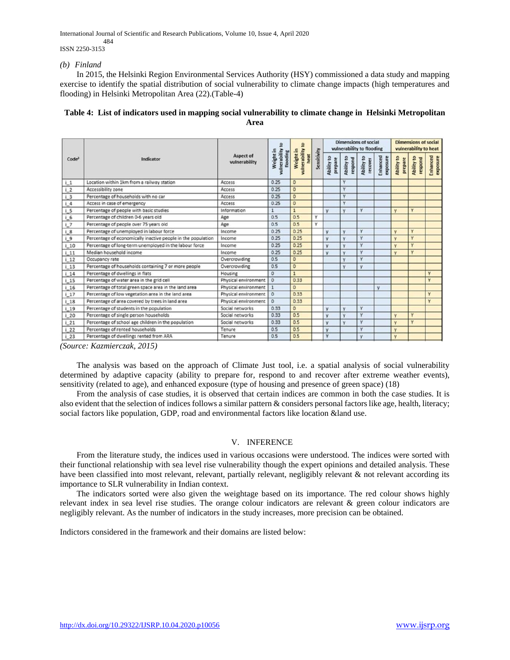International Journal of Scientific and Research Publications, Volume 10, Issue 4, April 2020

 484 ISSN 2250-3153

#### *(b) Finland*

 In 2015, the Helsinki Region Environmental Services Authority (HSY) commissioned a data study and mapping exercise to identify the spatial distribution of social vulnerability to climate change impacts (high temperatures and flooding) in Helsinki Metropolitan Area (22).(Table-4)

# **Table 4: List of indicators used in mapping social vulnerability to climate change in Helsinki Metropolitan Area**

|                   |                                                              |                            | 3                                      | $\overline{a}$                     |             | <b>Dimensions of social</b><br>vulnerability to flooding |                       |                       |                      | <b>Dimensions of social</b><br>vulnerability to heat |                       |                      |
|-------------------|--------------------------------------------------------------|----------------------------|----------------------------------------|------------------------------------|-------------|----------------------------------------------------------|-----------------------|-----------------------|----------------------|------------------------------------------------------|-----------------------|----------------------|
| Code <sup>3</sup> | Indicator                                                    | Aspect of<br>vulnerability | vulnerability<br>Weight in<br>flooding | vulnerability<br>Weight in<br>heat | Sensitivity | Ability to<br>prepare                                    | Ability to<br>respond | Ability to<br>recover | Enhanced<br>exposure | Ability to<br>prepare                                | Ability to<br>respond | Enhanced<br>exposure |
| 1.1               | Location within 1km from a railway station                   | Access                     | 0.25                                   | $\circ$                            |             |                                                          | v                     |                       |                      |                                                      |                       |                      |
| 12                | Accessibility zone                                           | Access                     | 0.25                                   | $\circ$                            |             |                                                          | $\mathsf{v}$          |                       |                      |                                                      |                       |                      |
| i <sub>3</sub>    | Percentage of households with no car                         | Access                     | 0.25                                   | $\circ$                            |             |                                                          | v                     |                       |                      |                                                      |                       |                      |
| 1.4               | Access in case of emergency                                  | Access                     | 0.25                                   | $\circ$                            |             |                                                          | v                     |                       |                      |                                                      |                       |                      |
| 15                | Percentage of people with basic studies                      | Information                | $\mathbf{1}$                           | $\mathbf{1}$                       |             | V.                                                       | v                     | Y                     |                      | v                                                    | Y                     |                      |
| $L_6$             | Percentage of children 0-6 years old                         | Age                        | 0.5                                    | 0.5                                | Y           |                                                          |                       |                       |                      |                                                      |                       |                      |
| 1.7               | Percentage of people over 75 years old                       | Age                        | 0.5                                    | 0.5                                | v           |                                                          |                       |                       |                      |                                                      |                       |                      |
| i 8               | Percentage of unemployed in labour force                     | Income                     | 0.25                                   | 0.25                               |             | y                                                        | v                     | Y                     |                      | v                                                    | Y                     |                      |
| 1.9               | Percentage of economically inactive people in the population | Income                     | 0.25                                   | 0.25                               |             | <b>V</b>                                                 | $\mathbf{v}$          | Y                     |                      | $\overline{\mathsf{v}}$                              | v                     |                      |
| 110               | Percentage of long-term unemployed in the labour force       | Income                     | 0.25                                   | 0.25                               |             | v                                                        | v                     | Y                     |                      | v                                                    | v                     |                      |
| 11                | Median household income                                      | Income                     | 0.25                                   | 0.25                               |             | v                                                        | $\mathbf{v}$          | Y                     |                      | v                                                    | Y                     |                      |
| 112               | Occupancy rate                                               | Overcrowding               | 0.5                                    | $\circ$                            |             |                                                          | v                     | v                     |                      |                                                      |                       |                      |
| 113               | Percentage of households containing 7 or more people         | Overcrowding               | 0.5                                    | $\circ$                            |             |                                                          | ٧                     | y                     |                      |                                                      |                       |                      |
| $i$ 14            | Percentage of dwellings in flats                             | Housing                    | $\circ$                                | 1                                  |             |                                                          |                       |                       |                      |                                                      |                       | Y                    |
| 1.15              | Percentage of water area in the grid cell                    | Physical environment       | $\circ$                                | 0.33                               |             |                                                          |                       |                       |                      |                                                      |                       | Y                    |
| $i$ 16            | Percentage of total green space area in the land area        | Physical environment       | $\vert$ 1                              | $\Omega$                           |             |                                                          |                       |                       | v                    |                                                      |                       |                      |
| 117               | Percentage of low vegetation area in the land area           | Physical environment       | $\circ$                                | 0.33                               |             |                                                          |                       |                       |                      |                                                      |                       | Y                    |
| 118               | Percentage of area covered by trees in land area             | Physical environment       | $\Omega$                               | 0.33                               |             |                                                          |                       |                       |                      |                                                      |                       | Y                    |
| 119               | Percentage of students in the population                     | Social networks            | 0.33                                   | $\circ$                            |             | Y                                                        | v                     | Y                     |                      |                                                      |                       |                      |
| 120               | Percentage of single person households                       | Social networks            | 0.33                                   | 0.5                                |             | y                                                        | v                     | Y                     |                      | v                                                    | v                     |                      |
| 121               | Percentage of school age children in the population          | Social networks            | 0.33                                   | 0.5                                |             | v                                                        | v                     | Y                     |                      | v                                                    | Y                     |                      |
| $i$ 22            | Percentage of rented households                              | Tenure                     | 0.5                                    | 0.5                                |             | v                                                        |                       | v                     |                      | v                                                    |                       |                      |
| $i$ 23            | Percentage of dwellings rented from ARA                      | Tenure                     | 0.5                                    | 0.5                                |             | Y                                                        |                       | v                     |                      | v                                                    |                       |                      |

*(Source: Kazmierczak, 2015)*

 The analysis was based on the approach of Climate Just tool, i.e. a spatial analysis of social vulnerability determined by adaptive capacity (ability to prepare for, respond to and recover after extreme weather events), sensitivity (related to age), and enhanced exposure (type of housing and presence of green space) (18)

 From the analysis of case studies, it is observed that certain indices are common in both the case studies. It is also evident that the selection of indices follows a similar pattern & considers personal factors like age, health, literacy; social factors like population, GDP, road and environmental factors like location &land use.

#### V. INFERENCE

 From the literature study, the indices used in various occasions were understood. The indices were sorted with their functional relationship with sea level rise vulnerability though the expert opinions and detailed analysis. These have been classified into most relevant, relevant, partially relevant, negligibly relevant & not relevant according its importance to SLR vulnerability in Indian context.

 The indicators sorted were also given the weightage based on its importance. The red colour shows highly relevant index in sea level rise studies. The orange colour indicators are relevant & green colour indicators are negligibly relevant. As the number of indicators in the study increases, more precision can be obtained.

Indictors considered in the framework and their domains are listed below: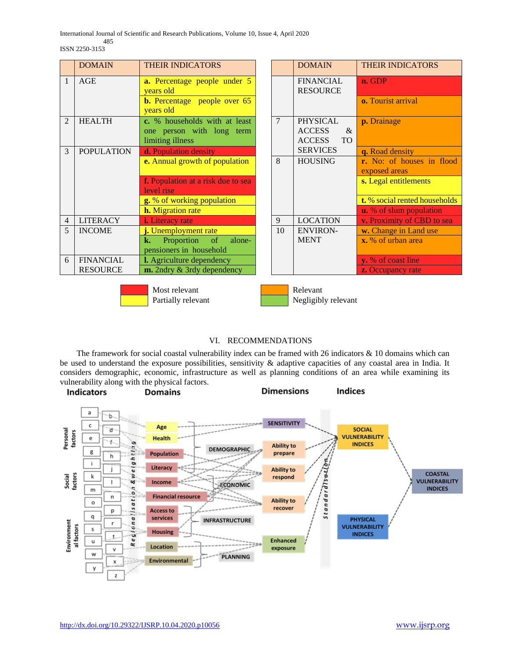International Journal of Scientific and Research Publications, Volume 10, Issue 4, April 2020

 485 ISSN 2250-3153

|                | <b>DOMAIN</b>     | <b>THEIR INDICATORS</b>                                                        |                | <b>DOMAIN</b>                                                          | <b>THEIR INDICATORS</b>                   |
|----------------|-------------------|--------------------------------------------------------------------------------|----------------|------------------------------------------------------------------------|-------------------------------------------|
| $\overline{1}$ | AGE               | <b>a.</b> Percentage people under 5<br>years old                               |                | <b>FINANCIAL</b><br><b>RESOURCE</b>                                    | n. GDP                                    |
|                |                   | <b>b.</b> Percentage people over 65<br>years old                               |                |                                                                        | o. Tourist arrival                        |
| $\mathfrak{D}$ | <b>HEALTH</b>     | c. % households with at least<br>one person with long term<br>limiting illness | $\overline{7}$ | <b>PHYSICAL</b><br><b>ACCESS</b><br>$\&$<br><b>ACCESS</b><br><b>TO</b> | p. Drainage                               |
| 3              | <b>POPULATION</b> | d. Population density                                                          |                | <b>SERVICES</b>                                                        | q. Road density                           |
|                |                   | <b>e.</b> Annual growth of population                                          | 8              | <b>HOUSING</b>                                                         | r. No: of houses in floo<br>exposed areas |
|                |                   | f. Population at a risk due to sea<br>level rise                               |                |                                                                        | s. Legal entitlements                     |
|                |                   | g. % of working population                                                     |                |                                                                        | t. % social rented household              |
|                |                   | <b>h.</b> Migration rate                                                       |                |                                                                        | <b>u.</b> % of slum population            |
| $\overline{4}$ | <b>LITERACY</b>   | <i>i.</i> Literacy rate                                                        | 9              | <b>LOCATION</b>                                                        | v. Proximity of CBD to sea                |
| 5              | <b>INCOME</b>     | j. Unemployment rate                                                           | 10             | <b>ENVIRON-</b>                                                        | w. Change in Land use                     |
|                |                   | $\sigma$<br>Proportion<br>alone-<br>k.                                         |                | <b>MENT</b>                                                            | x. % of urban area                        |
|                |                   | pensioners in household                                                        |                |                                                                        |                                           |
| 6              | <b>FINANCIAL</b>  | <b>l.</b> Agriculture dependency                                               |                |                                                                        | y. % of coast line                        |
|                | <b>RESOURCE</b>   | $m$ . 2ndry $\&$ 3rdy dependency                                               |                |                                                                        | <b>z.</b> Occupancy rate                  |

| <b>THEIR INDICATORS</b>                                                        |                | <b>DOMAIN</b>                                                       | <b>THEIR INDICATORS</b>                    |
|--------------------------------------------------------------------------------|----------------|---------------------------------------------------------------------|--------------------------------------------|
| a. Percentage people under 5<br>years old                                      |                | <b>FINANCIAL</b><br><b>RESOURCE</b>                                 | n. GDP                                     |
| <b>b.</b> Percentage people over 65<br>years old                               |                |                                                                     | <b>o.</b> Tourist arrival                  |
| c. % households with at least<br>one person with long term<br>limiting illness | $\overline{7}$ | <b>PHYSICAL</b><br><b>ACCESS</b><br>&<br><b>ACCESS</b><br><b>TO</b> | p. Drainage                                |
| d. Population density                                                          |                | <b>SERVICES</b>                                                     | q. Road density                            |
| e. Annual growth of population                                                 | 8              | <b>HOUSING</b>                                                      | r. No: of houses in flood<br>exposed areas |
| f. Population at a risk due to sea<br>level rise                               |                |                                                                     | s. Legal entitlements                      |
| g. % of working population                                                     |                |                                                                     | t. % social rented households              |
| <b>h.</b> Migration rate                                                       |                |                                                                     | <b>u.</b> % of slum population             |
| <b>i.</b> Literacy rate                                                        | 9              | <b>LOCATION</b>                                                     | v. Proximity of CBD to sea                 |
| j. Unemployment rate                                                           | 10             | <b>ENVIRON-</b>                                                     | w. Change in Land use                      |
| k.<br>Proportion of<br>alone-<br>pensioners in household                       |                | <b>MENT</b>                                                         | x. % of urban area                         |
| I. Agriculture dependency                                                      |                |                                                                     | y. % of coast line                         |
| m. 2ndry & 3rdy dependency                                                     |                |                                                                     | <b>z.</b> Occupancy rate                   |
|                                                                                |                |                                                                     |                                            |



Most relevant and Relevant

Partially relevant and Negligibly relevant

# VI. RECOMMENDATIONS

 The framework for social coastal vulnerability index can be framed with 26 indicators & 10 domains which can be used to understand the exposure possibilities, sensitivity & adaptive capacities of any coastal area in India. It considers demographic, economic, infrastructure as well as planning conditions of an area while examining its vulnerability along with the physical factors.